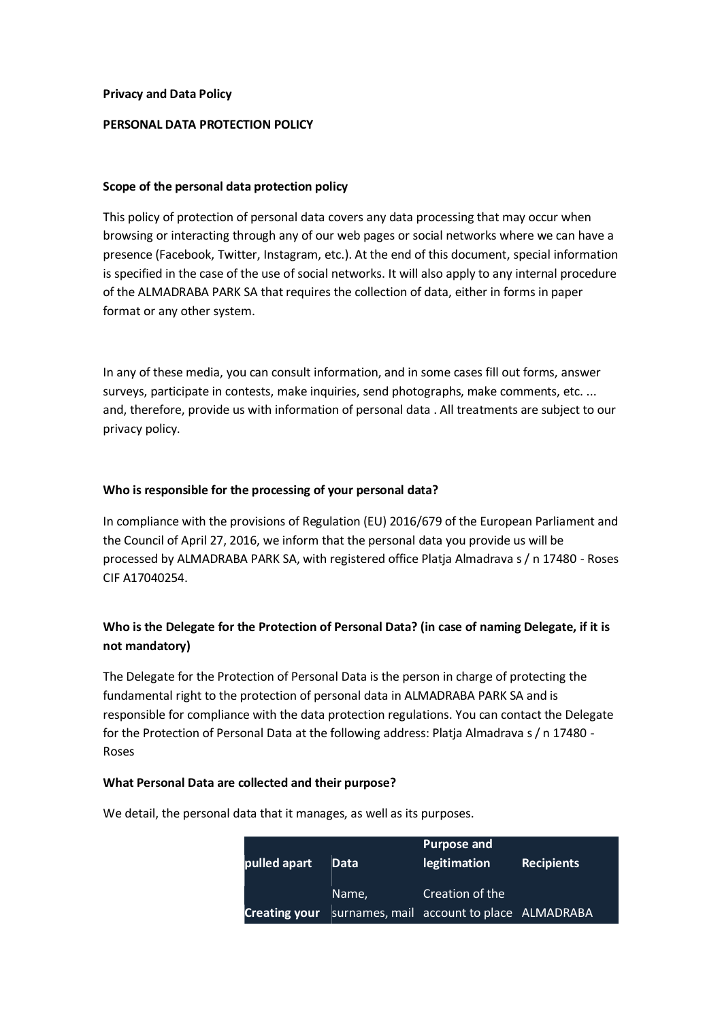#### **Privacy and Data Policy**

#### **PERSONAL DATA PROTECTION POLICY**

#### **Scope of the personal data protection policy**

This policy of protection of personal data covers any data processing that may occur when browsing or interacting through any of our web pages or social networks where we can have a presence (Facebook, Twitter, Instagram, etc.). At the end of this document, special information is specified in the case of the use of social networks. It will also apply to any internal procedure of the ALMADRABA PARK SA that requires the collection of data, either in forms in paper format or any other system.

In any of these media, you can consult information, and in some cases fill out forms, answer surveys, participate in contests, make inquiries, send photographs, make comments, etc. ... and, therefore, provide us with information of personal data . All treatments are subject to our privacy policy.

#### **Who is responsible for the processing of your personal data?**

In compliance with the provisions of Regulation (EU) 2016/679 of the European Parliament and the Council of April 27, 2016, we inform that the personal data you provide us will be processed by ALMADRABA PARK SA, with registered office Platja Almadrava s / n 17480 - Roses CIF A17040254.

# **Who is the Delegate for the Protection of Personal Data? (in case of naming Delegate, if it is not mandatory)**

The Delegate for the Protection of Personal Data is the person in charge of protecting the fundamental right to the protection of personal data in ALMADRABA PARK SA and is responsible for compliance with the data protection regulations. You can contact the Delegate for the Protection of Personal Data at the following address: Platja Almadrava s / n 17480 - Roses

### **What Personal Data are collected and their purpose?**

**pulled apart Data Purpose and legitimation Recipients Creating your**  surnames, mail account to place ALMADRABA Name, Creation of the

We detail, the personal data that it manages, as well as its purposes.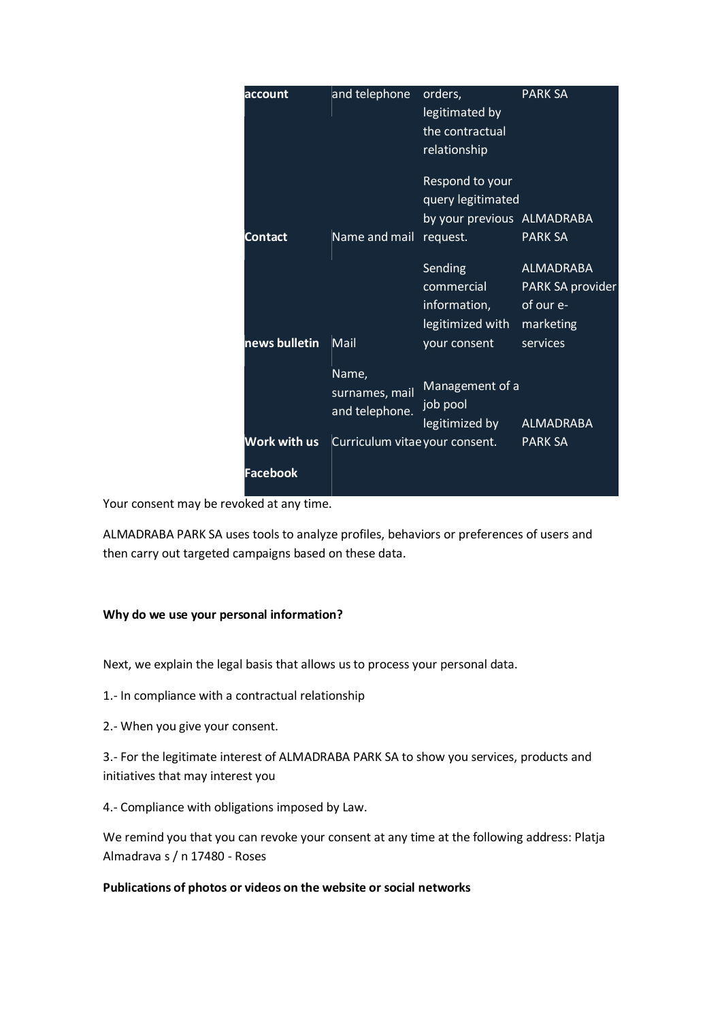| account       | and telephone                             | orders,<br>legitimated by<br>the contractual<br>relationship                   | <b>PARK SA</b>                                                             |
|---------------|-------------------------------------------|--------------------------------------------------------------------------------|----------------------------------------------------------------------------|
| Contact       | Name and mail                             | Respond to your<br>query legitimated<br>by your previous ALMADRABA<br>request. | <b>PARK SA</b>                                                             |
| news bulletin | Mail                                      | Sending<br>commercial<br>information,<br>legitimized with<br>your consent      | <b>ALMADRABA</b><br>PARK SA provider<br>of our e-<br>marketing<br>services |
|               | Name,<br>surnames, mail<br>and telephone. | Management of a<br>job pool<br>legitimized by                                  | <b>ALMADRABA</b>                                                           |
| Work with us  | Curriculum vitae your consent.            |                                                                                | <b>PARK SA</b>                                                             |
| Facebook      |                                           |                                                                                |                                                                            |

Your consent may be revoked at any time.

ALMADRABA PARK SA uses tools to analyze profiles, behaviors or preferences of users and then carry out targeted campaigns based on these data.

### **Why do we use your personal information?**

Next, we explain the legal basis that allows us to process your personal data.

- 1.- In compliance with a contractual relationship
- 2.- When you give your consent.

3.- For the legitimate interest of ALMADRABA PARK SA to show you services, products and initiatives that may interest you

4.- Compliance with obligations imposed by Law.

We remind you that you can revoke your consent at any time at the following address: Platja Almadrava s / n 17480 - Roses

## **Publications of photos or videos on the website or social networks**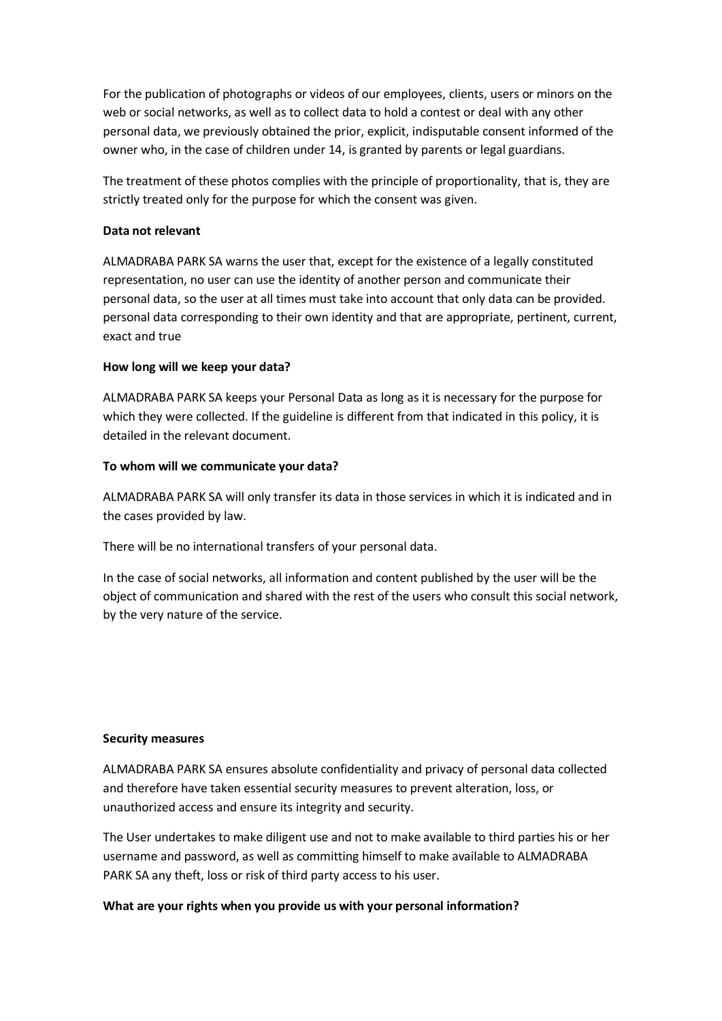For the publication of photographs or videos of our employees, clients, users or minors on the web or social networks, as well as to collect data to hold a contest or deal with any other personal data, we previously obtained the prior, explicit, indisputable consent informed of the owner who, in the case of children under 14, is granted by parents or legal guardians.

The treatment of these photos complies with the principle of proportionality, that is, they are strictly treated only for the purpose for which the consent was given.

## **Data not relevant**

ALMADRABA PARK SA warns the user that, except for the existence of a legally constituted representation, no user can use the identity of another person and communicate their personal data, so the user at all times must take into account that only data can be provided. personal data corresponding to their own identity and that are appropriate, pertinent, current, exact and true

## **How long will we keep your data?**

ALMADRABA PARK SA keeps your Personal Data as long as it is necessary for the purpose for which they were collected. If the guideline is different from that indicated in this policy, it is detailed in the relevant document.

## **To whom will we communicate your data?**

ALMADRABA PARK SA will only transfer its data in those services in which it is indicated and in the cases provided by law.

There will be no international transfers of your personal data.

In the case of social networks, all information and content published by the user will be the object of communication and shared with the rest of the users who consult this social network, by the very nature of the service.

### **Security measures**

ALMADRABA PARK SA ensures absolute confidentiality and privacy of personal data collected and therefore have taken essential security measures to prevent alteration, loss, or unauthorized access and ensure its integrity and security.

The User undertakes to make diligent use and not to make available to third parties his or her username and password, as well as committing himself to make available to ALMADRABA PARK SA any theft, loss or risk of third party access to his user.

## **What are your rights when you provide us with your personal information?**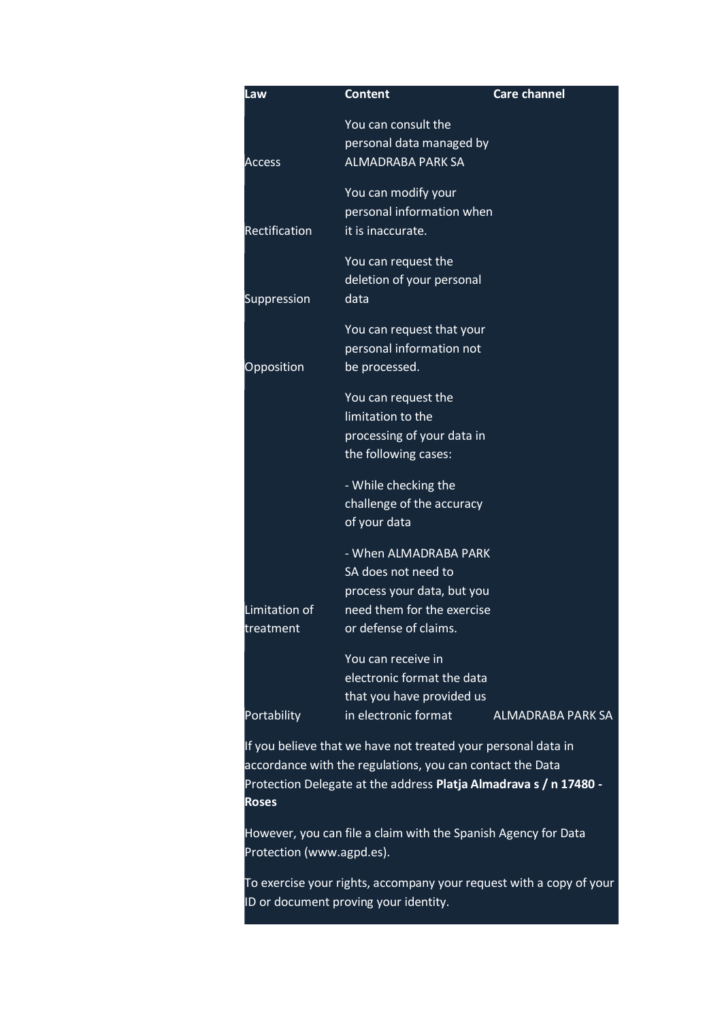| Law                        | <b>Content</b>                                                                                                                    | <b>Care channel</b>      |
|----------------------------|-----------------------------------------------------------------------------------------------------------------------------------|--------------------------|
| <b>Access</b>              | You can consult the<br>personal data managed by<br><b>ALMADRABA PARK SA</b>                                                       |                          |
| Rectification              | You can modify your<br>personal information when<br>it is inaccurate.                                                             |                          |
| Suppression                | You can request the<br>deletion of your personal<br>data                                                                          |                          |
| <b>Opposition</b>          | You can request that your<br>personal information not<br>be processed.                                                            |                          |
|                            | You can request the<br>limitation to the<br>processing of your data in<br>the following cases:                                    |                          |
|                            | - While checking the<br>challenge of the accuracy<br>of your data                                                                 |                          |
| Limitation of<br>treatment | - When ALMADRABA PARK<br>SA does not need to<br>process your data, but you<br>need them for the exercise<br>or defense of claims. |                          |
| Portability                | You can receive in<br>electronic format the data<br>that you have provided us<br>in electronic format                             | <b>ALMADRABA PARK SA</b> |
|                            | If you believe that we have not treated your personal data in                                                                     |                          |

If you believe that we have not treated your personal data in accordance with the regulations, you can contact the Data Protection Delegate at the address **Platja Almadrava s / n 17480 - Roses**

However, you can file a claim with the Spanish Agency for Data Protection (www.agpd.es).

To exercise your rights, accompany your request with a copy of your ID or document proving your identity.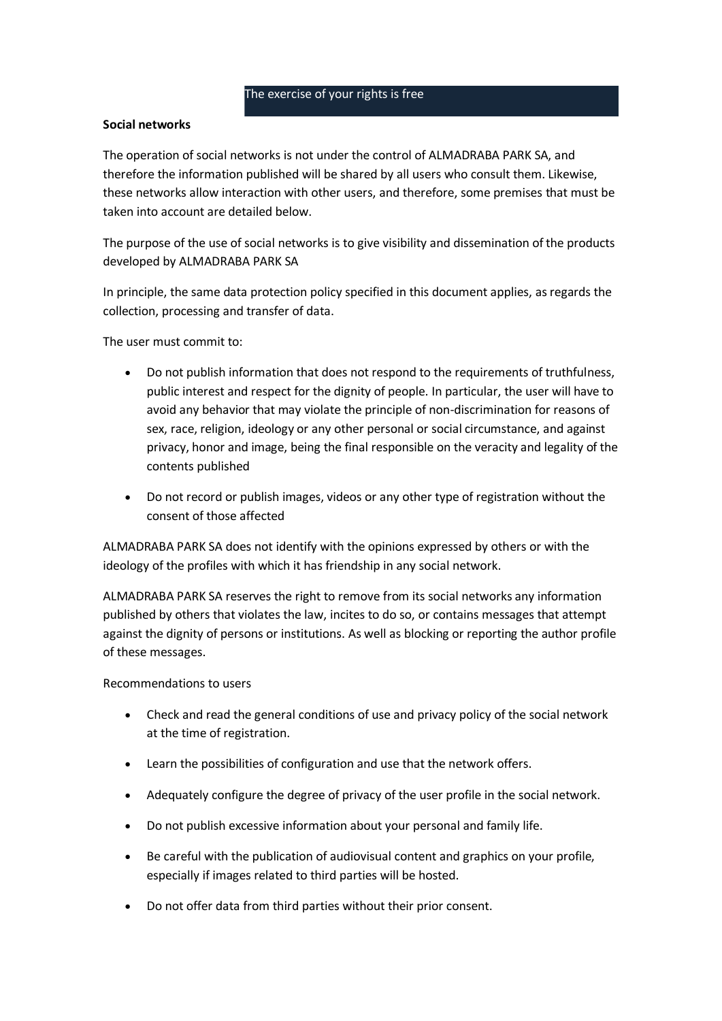#### The exercise of your rights is free

### **Social networks**

The operation of social networks is not under the control of ALMADRABA PARK SA, and therefore the information published will be shared by all users who consult them. Likewise, these networks allow interaction with other users, and therefore, some premises that must be taken into account are detailed below.

The purpose of the use of social networks is to give visibility and dissemination of the products developed by ALMADRABA PARK SA

In principle, the same data protection policy specified in this document applies, as regards the collection, processing and transfer of data.

The user must commit to:

- Do not publish information that does not respond to the requirements of truthfulness, public interest and respect for the dignity of people. In particular, the user will have to avoid any behavior that may violate the principle of non-discrimination for reasons of sex, race, religion, ideology or any other personal or social circumstance, and against privacy, honor and image, being the final responsible on the veracity and legality of the contents published
- Do not record or publish images, videos or any other type of registration without the consent of those affected

ALMADRABA PARK SA does not identify with the opinions expressed by others or with the ideology of the profiles with which it has friendship in any social network.

ALMADRABA PARK SA reserves the right to remove from its social networks any information published by others that violates the law, incites to do so, or contains messages that attempt against the dignity of persons or institutions. As well as blocking or reporting the author profile of these messages.

Recommendations to users

- Check and read the general conditions of use and privacy policy of the social network at the time of registration.
- Learn the possibilities of configuration and use that the network offers.
- Adequately configure the degree of privacy of the user profile in the social network.
- Do not publish excessive information about your personal and family life.
- Be careful with the publication of audiovisual content and graphics on your profile, especially if images related to third parties will be hosted.
- Do not offer data from third parties without their prior consent.